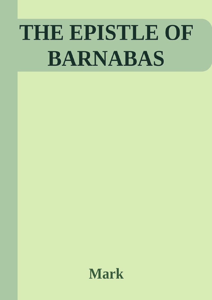# THE EPISTLE OF **BARNABAS**

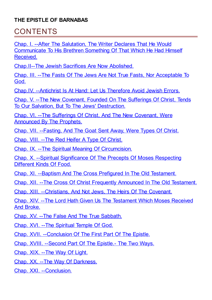#### **THE EPISTLE OF BARNABAS**

### **CONTENTS**

Chap. I. --After The Salutation, The Writer Declares That He Would [Communicate](#page-2-0) To His Brethren Something Of That Which He Had Himself Received.

[Chap.II--The](#page-2-1) Jewish Sacrifices Are Now Abolished.

Chap. III. --The Fasts Of The Jews Are Not True Fasts, Nor [Acceptable](#page-3-0) To God.

Chap.IV. [--Antichrist](#page-4-0) Is At Hand: Let Us Therefore Avoid Jewish Errors.

Chap. V. --The New Covenant, Founded On The Sufferings Of Christ, Tends To Our Salvation, But To The Jews' [Destruction.](#page-5-0)

Chap. VI. --The Sufferings Of Christ, And The New Covenant, Were [Announced](#page-6-0) By The Prophets.

Chap. VII. [--Fasting,](#page-8-0) And The Goat Sent Away, Were Types Of Christ.

Chap. VIII. --The Red Heifer A Type Of [Christ.](#page-9-0)

Chap. IX. --The Spiritual Meaning Of [Circumcision.](#page-9-1)

Chap. X. --Spiritual [Significance](#page-10-0) Of The Precepts Of Moses Respecting Different Kinds Of Food.

Chap. XI. --Baptism And The Cross Prefigured In The Old [Testament.](#page-12-0)

Chap. XII. --The Cross Of Christ Frequently [Announced](#page-13-0) In The Old Testament.

Chap. XIII. [--Christians,](#page-14-0) And Not Jews, The Heirs Of The Covenant.

Chap. XIV. --The Lord Hath Given Us The [Testament](#page-15-0) Which Moses Received And Broke.

Chap. XV. --The False And The True [Sabbath.](#page-16-0)

Chap. XVI. --The [Spiritual](#page-16-1) Temple Of God.

Chap. XVII. [--Conclusion](#page-18-0) Of The First Part Of The Epistle.

Chap. XVIII. [--Second](#page-19-0) Part Of The Epistle.- The Two Ways.

[Chap.](#page-19-1) XIX. --The Way Of Light.

Chap. XX. --The Way Of [Darkness.](#page-20-0)

Chap. XXI. [--Conclusion.](#page-21-0)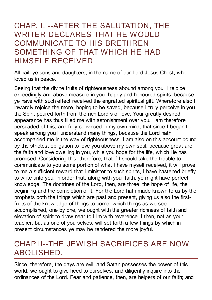#### <span id="page-2-0"></span>CHAP. I. --AFTER THE SALUTATION, THE WRITER DECLARES THAT HE WOULD COMMUNICATE TO HIS BRETHREN SOMETHING OF THAT WHICH HE HAD HIMSELF RECEIVED.

All hail, ye sons and daughters, in the name of our Lord Jesus Christ, who loved us in peace.

Seeing that the divine fruits of righteousness abound among you, I rejoice exceedingly and above measure in your happy and honoured spirits, because ye have with such effect received the engrafted spiritual gift. Wherefore also I inwardly rejoice the more, hoping to be saved, because I truly perceive in you the Spirit poured forth from the rich Lord s of love. Your greatly desired appearance has thus filled me with astonishment over you. I am therefore persuaded of this, and fully convinced in my own mind, that since I began to speak among you I understand many things, because the Lord hath accompanied me in the way of righteousness. I am also on this account bound by the strictest obligation to love you above my own soul, because great are the faith and love dwelling in you, while you hope for the life, which He has promised. Considering this, therefore, that if I should take the trouble to communicate to you some portion of what I have myself received, it will prove to me a sufficient reward that I minister to such spirits, I have hastened briefly to write unto you, in order that, along with your faith, ye might have perfect knowledge. The doctrines of the Lord, then, are three: the hope of life, the beginning and the completion of it. For the Lord hath made known to us by the prophets both the things which are past and present, giving us also the firstfruits of the knowledge of things to come, which things as we see accomplished, one by one, we ought with the greater richness of faith and elevation of spirit to draw near to Him with reverence. I then, not as your teacher, but as one of yourselves, will set forth a few things by which in present circumstances ye may be rendered the more joyful.

# <span id="page-2-1"></span>CHAP.II--THE JEWISH SACRIFICES ARE NOW ABOLISHED.

Since, therefore, the days are evil, and Satan possesses the power of this world, we ought to give heed to ourselves, and diligently inquire into the ordinances of the Lord. Fear and patience, then, are helpers of our faith; and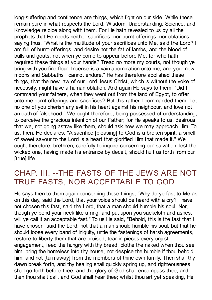long-suffering and continence are things, which fight on our side. While these remain pure in what respects the Lord, Wisdom, Understanding, Science, and Knowledge rejoice along with them. For He hath revealed to us by all the prophets that He needs neither sacrifices, nor burnt offerings, nor oblations, saying thus, "What is the multitude of your sacrifices unto Me, said the Lord? I am full of burnt-offerings, and desire not the fat of lambs, and the blood of bulls and goats, not when ye come to appear before Me: for who hath required these things at your hands? Tread no more my courts, not though ye bring with you fine flour. Incense is a vain abomination unto me, and your new moons and Sabbaths I cannot endure." He has therefore abolished these things, that the new law of our Lord Jesus Christ, which is without the yoke of necessity, might have a human oblation. And again He says to them, "Did I command your fathers, when they went out from the land of Egypt, to offer unto me burnt-offerings and sacrifices? But this rather I commanded them, Let no one of you cherish any evil in his heart against his neighbour, and love not an oath of falsehood." We ought therefore, being possessed of understanding, to perceive the gracious intention of our Father; for He speaks to us, desirous that we, not going astray like them, should ask how we may approach Him. To us, then, He declares, "A sacrifice [pleasing] to God is a broken spirit; a smell of sweet savour to the Lord is a heart that glorified Him that made it." We ought therefore, brethren, carefully to inquire concerning our salvation, lest the wicked one, having made his entrance by deceit, should huff us forth from our [true] life.

# <span id="page-3-0"></span>CHAP. III. --THE FASTS OF THE JEWS ARE NOT TRUE FASTS, NOR ACCEPTABLE TO GOD.

He says then to them again concerning these things, "Why do ye fast to Me as on this day, said the Lord, that your voice should be heard with a cry? I have not chosen this fast, said the Lord, that a man should humble his soul. Nor, though ye bend your neck like a ring, and put upon you sackcloth and ashes, will ye call it an acceptable fast." To us He said, "Behold, this is the fast that I have chosen, said the Lord, not that a man should humble his soul, but that he should loose every band of iniquity, untie the fastenings of harsh agreements, restore to liberty them that are bruised, tear in pieces every unjust engagement, feed the hungry with thy bread, clothe the naked when thou see him, bring the homeless into thy house, not despise the humble if thou behold him, and not [turn away] from the members of thine own family. Then shall thy dawn break forth, and thy healing shall quickly spring up, and righteousness shall go forth before thee, and the glory of God shall encompass thee; and then thou shalt call, and God shall hear thee; whilst thou art yet speaking, He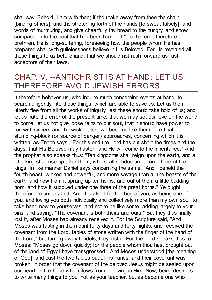shall say, Behold, I am with thee; if thou take away from thee the chain [binding others], and the stretching forth of the hands [to sweat falsely], and words of murmuring, and give cheerfully thy bread to the hungry, and show compassion to the soul that has been humbled." To this end, therefore, brethren, He is long-suffering, foreseeing how the people whom He has prepared shall with guilelessness believe in His Beloved. For He revealed all these things to us beforehand, that we should not rush forward as rash acceptors of their laws.

#### <span id="page-4-0"></span>CHAP.IV. --ANTICHRIST IS AT HAND: LET US THEREFORE AVOID JEWISH ERRORS.

It therefore behoves us, who inquire much concerning events at hand, to search diligently into those things, which are able to save us. Let us then utterly flee from all the works of iniquity, lest these should take hold of us; and let us hate the error of the present time, that we may set our love on the world to come: let us not give loose reins to our soul, that it should have power to run with sinners and the wicked, lest we become like them. The final stumbling-block (or source of danger) approaches, concerning which it is written, as Enoch says, "For this end the Lord has cut short the times and the days, that His Beloved may hasten; and He will come to the inheritance." And the prophet also speaks thus: "Ten kingdoms shall reign upon the earth, and a little king shall rise up after them, who shall subdue under one three of the kings. In like manner Daniel says concerning the same, "And I beheld the fourth beast, wicked and powerful, and more savage than all the beasts of the earth, and how from it sprang up ten horns, and out of them a little budding horn, and how it subdued under one three of the great horns." Ye ought therefore to understand. And this also I further beg of you, as being one of you, and loving you both individually and collectively more than my own soul, to take heed now to yourselves, and not to be like some, adding largely to your sins, and saying, "The covenant is both theirs and ours." But they thus finally lost it, after Moses had already received it. For the Scripture said, "And Moses was fasting in the mount forty days and forty nights, and received the covenant from the Lord, tables of stone written with the finger of the hand of the Lord;" but turning away to idols, they lost it. For the Lord speaks thus to Moses: "Moses go down quickly; for the people whom thou hast brought out of the land of Egypt have transgressed." And Moses understood [the meaning of God], and cast the two tables out of his hands; and their covenant was broken, in order that the covenant of the beloved Jesus might be sealed upon our heart, in the hope which flows from believing in Him. Now, being desirous to write many things to you, not as your teacher, but as become one who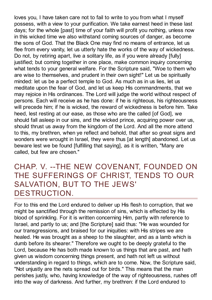loves you, I have taken care not to fail to write to you from what I myself possess, with a view to your purification. We take earnest heed in these last days; for the whole [past] time of your faith will profit you nothing, unless now in this wicked time we also withstand coming sources of danger, as become the sons of God. That the Black One may find no means of entrance, let us flee from every vanity, let us utterly hate the works of the way of wickedness. Do not, by retiring apart, live a solitary life, as if you were already [fully] justified; but coming together in one place, make common inquiry concerning what tends to your general welfare. For the Scripture said, "Woe to them who are wise to themselves, and prudent in their own sight!" Let us be spiritually minded: let us be a perfect temple to God. As much as in us lies, let us meditate upon the fear of God, and let us keep His commandments, that we may rejoice in His ordinances. The Lord will judge the world without respect of persons. Each will receive as he has done: if he is righteous, his righteousness will precede him; if he is wicked, the reward of wickedness is before him. Take heed, lest resting at our ease, as those who are the called [of God], we should fall asleep in our sins, and the wicked prince, acquiring power over us, should thrust us away from the kingdom of the Lord. And all the more attend to this, my brethren, when ye reflect and behold, that after so great signs and wonders were wrought in Israel, they were thus [at length] abandoned. Let us beware lest we be found [fulfilling that saying], as it is written, "Many are called, but few are chosen."

#### <span id="page-5-0"></span>CHAP. V. --THE NEW COVENANT, FOUNDED ON THE SUFFERINGS OF CHRIST, TENDS TO OUR SALVATION, BUT TO THE JEWS' DESTRUCTION.

For to this end the Lord endured to deliver up His flesh to corruption, that we might be sanctified through the remission of sins, which is effected by His blood of sprinkling. For it is written concerning Him, partly with reference to Israel, and partly to us; and [the Scripture] said thus: "He was wounded for our transgressions, and braised for our iniquities: with His stripes we are healed. He was brought as a sheep to the slaughter, and as a lamb which is dumb before its shearer." Therefore we ought to be deeply grateful to the Lord, because He has both made known to us things that are past, and hath given us wisdom concerning things present, and hath not left us without understanding in regard to things, which are to come. Now, the Scripture said, "Not unjustly are the nets spread out for birds." This means that the man perishes justly, who, having knowledge of the way of righteousness, rushes off into the way of darkness. And further, my brethren: if the Lord endured to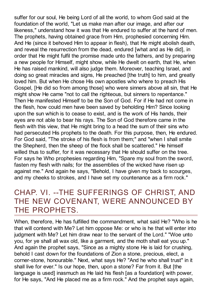suffer for our soul, He being Lord of all the world, to whom God said at the foundation of the world, "Let us make man after our image, and after our likeness," understand how it was that He endured to suffer at the hand of men. The prophets, having obtained grace from Him, prophesied concerning Him. And He (since it behoved Him to appear in flesh), that He might abolish death, and reveal the resurrection from the dead, endured [what and as He did], in order that He might fulfil the promise made unto the fathers, and by preparing a new people for Himself, might show, while He dwelt on earth, that He, when He has raised mankind, will also judge them. Moreover, teaching Israel, and doing so great miracles and signs, He preached [the truth] to him, and greatly loved him. But when He chose His own apostles who where to preach His Gospel, [He did so from among those] who were sinners above all sin, that He might show He came "not to call the righteous, but sinners to repentance." Then He manifested Himself to be the Son of God. For if He had not come in the flesh, how could men have been saved by beholding Him? Since looking upon the sun which is to cease to exist, and is the work of His hands, their eyes are not able to bear his rays. The Son of God therefore came in the flesh with this view, that He might bring to a head the sum of their sins who had persecuted His prophets to the death. For this purpose, then, He endured. For God said, "The stroke of his flesh is from them;" and "when I shall smite the Shepherd, then the sheep of the flock shall be scattered." He himself willed thus to suffer, for it was necessary that He should suffer on the tree. For says he Who prophesies regarding Him, "Spare my soul from the sword, fasten my flesh with nails; for the assemblies of the wicked have risen up against me." And again he says, "Behold, I have given my back to scourges, and my cheeks to strokes, and I have set my countenance as a firm rock."

#### <span id="page-6-0"></span>CHAP. VI. --THE SUFFERINGS OF CHRIST, AND THE NEW COVENANT, WERE ANNOUNCED BY THE PROPHETS.

When, therefore, He has fulfilled the commandment, what said He? "Who is he that will contend with Me? Let him oppose Me: or who is he that will enter into judgment with Me? Let him draw near to the servant of the Lord." "Woe unto you, for ye shall all wax old, like a garment, and the moth shall eat you up." And again the prophet says, "Since as a mighty stone He is laid for crushing, behold I cast down for the foundations of Zion a stone, precious, elect, a corner-stone, honourable." Next, what says He? "And he who shall trust" in it shall live for ever." Is our hope, then, upon a stone? Far from it. But [the language is used] inasmuch as He laid his flesh [as a foundation] with power, for He says, "And He placed me as a firm rock." And the prophet says again,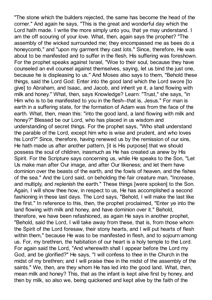"The stone which the builders rejected, the same has become the head of the corner." And again he says, "This is the great and wonderful day which the Lord hath made. I write the more simply unto you, that ye may understand. I am the off scouring of your love. What, then, again says the prophet? "The assembly of the wicked surrounded me; they encompassed me as bees do a honeycomb," and "upon my garment they cast lots." Since, therefore, He was about to be manifested and to suffer in the flesh, His suffering was foreshown. For the prophet speaks against Israel, "Woe to their soul, because they have counseled an evil counsel against themselves, saying, let us bind the just one, because he is displeasing to us." And Moses also says to them, "Behold these things, said the Lord God: Enter into the good land which the Lord swore [to give] to Abraham, and Isaac, and Jacob, and inherit ye it, a land flowing with milk and honey." What, then, says Knowledge? Learn: "Trust," she says, "in Him who is to be manifested to you in the flesh--that is, Jesus." For man is earth in a suffering state, for the formation of Adam was from the face of the earth. What, then, mean this: "into the good land, a land flowing with milk and honey?" Blessed be our Lord, who has placed in us wisdom and understanding of secret things. For the prophet says, "Who shall understand the parable of the Lord, except him who is wise and prudent, and who loves his Lord?" Since, therefore, having renewed us by the remission of our sins, He hath made us after another pattern, [it is His purpose] that we should possess the soul of children, inasmuch as He has created us anew by His Spirit. For the Scripture says concerning us, while He speaks to the Son, "Let Us make man after Our image, and after Our likeness; and let them have dominion over the beasts of the earth, and the fowls of heaven, and the fishes of the sea." And the Lord said, on beholding the fair creature man, "Increase, and multiply, and replenish the earth." These things [were spoken] to the Son. Again, I will show thee how, in respect to us, He has accomplished a second fashioning in these last days. The Lord says, "Behold, I will make the last like the first." In reference to this, then, the prophet proclaimed, "Enter ye into the land flowing with milk and honey, and have dominion over it." Behold, therefore, we have been refashioned, as again He says in another prophet, "Behold, said the Lord, I will take away from these, that is, from those whom the Spirit of the Lord foresaw, their stony hearts, and I will put hearts of flesh within them," because He was to be manifested in flesh, and to sojourn among us. For, my brethren, the habitation of our heart is a holy temple to the Lord. For again said the Lord, "And wherewith shall I appear before the Lord my God, and be glorified?" He says, "I will confess to thee in the Church in the midst of my brethren; and I will praise thee in the midst of the assembly of the saints." We, then, are they whom He has led into the good land. What, then, mean milk and honey? This, that as the infant is kept alive first by honey, and then by milk, so also we, being quickened and kept alive by the faith of the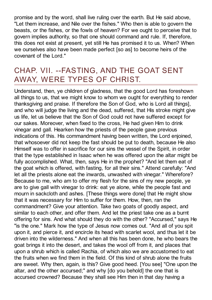promise and by the word, shall live ruling over the earth. But He said above, "Let them increase, and Nile over the fishes." Who then is able to govern the beasts, or the fishes, or the fowls of heaven? For we ought to perceive that to govern implies authority, so that one should command and rule. If, therefore, this does not exist at present, yet still He has promised it to us. When? When we ourselves also have been made perfect [so as] to become heirs of the covenant of the Lord."

#### <span id="page-8-0"></span>CHAP. VII. --FASTING, AND THE GOAT SENT AWAY, WERE TYPES OF CHRIST.

Understand, then, ye children of gladness, that the good Lord has foreshown all things to us, that we might know to whom we ought for everything to render thanksgiving and praise. If therefore the Son of God, who is Lord all things], and who will judge the living and the dead, suffered, that His stroke might give us life, let us believe that the Son of God could not have suffered except for our sakes. Moreover, when fixed to the cross, He had given Him to drink vinegar and gall. Hearken how the priests of the people gave previous indications of this. His commandment having been written, the Lord enjoined, that whosoever did not keep the fast should be put to death, because He also Himself was to offer in sacrifice for our sins the vessel of the Spirit, in order that the type established in Isaac when he was offered upon the altar might be fully accomplished. What, then, says He in the prophet? "And let them eat of the goat which is offered, with fasting, for all their sins." Attend carefully: "And let all the priests alone eat the inwards, unwashed with vinegar." Wherefore? Because to me, who am to offer my flesh for the sins of my new people, ye are to give gall with vinegar to drink: eat ye alone, while the people fast and mourn in sackcloth and ashes. [These things were done] that He might show that it was necessary for Him to suffer for them. How, then, ran the commandment? Give your attention. Take two goats of goodly aspect, and similar to each other, and offer them. And let the priest take one as a burnt offering for sins. And what should they do with the other? "Accursed," says He "is the one." Mark how the type of Jesus now comes out. "And all of you spit upon it, and pierce it, and encircle its head with scarlet wool, and thus let it be driven into the wilderness." And when all this has been done, he who bears the goat brings it into the desert, and takes the wool off from it, and places that upon a shrub which is called Rachia, of which also we are accustomed to eat the fruits when we find them in the field. Of this kind of shrub alone the fruits are sweet. Why then, again, is this? Give good heed. [You see] "One upon the altar, and the other accursed;" and why [do you behold] the one that is accursed crowned? Because they shall see Him then in that day having a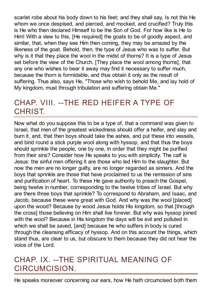scarlet robe about his body down to his feet; and they shall say, Is not this He whom we once despised, and pierced, and mocked, and crucified? Truly this is He who then declared Himself to be the Son of God. For how like is He to Him! With a view to this, [He required] the goats to be of goodly aspect, and similar, that, when they see Him then coming, they may be amazed by the likeness of the goat. Behold, then, the type of Jesus who was to suffer. But why is it that they place the wool in the midst of thorns? It is a type of Jesus set before the view of the Church. [They place the wool among thorns], that any one who wishes to bear it away may find it necessary to suffer much, because the thorn is formidable, and thus obtain it only as the result of suffering. Thus also, says He, "Those who wish to behold Me, and lay hold of My kingdom, must through tribulation and suffering obtain Me."

### <span id="page-9-0"></span>CHAP. VIII. --THE RED HEIFER A TYPE OF CHRIST.

Now what do you suppose this to be a type of, that a command was given to Israel, that men of the greatest wickedness should offer a heifer, and slay and burn it, and, that then boys should take the ashes, and put these into vessels, and bind round a stick purple wool along with hyssop, and that thus the boys should sprinkle the people, one by one, in order that they might be purified from their sins? Consider how He speaks to you with simplicity. The calf is Jesus: the sinful men offering it are those who led Him to the slaughter. But now the men are no longer guilty, are no longer regarded as sinners. And the boys that sprinkle are those that have proclaimed to us the remission of sins and purification of heart. To these He gave authority to preach the Gospel, being twelve in number, corresponding to the twelve tribes of Israel. But why are there three boys that sprinkle? To correspond to Abraham, and Isaac, and Jacob, because these were great with God. And why was the wool [placed] upon the wood? Because by wood Jesus holds His kingdom, so that [through the cross] those believing on Him shall live forever. But why was hyssop joined with the wool? Because in His kingdom the days will be evil and polluted in which we shall be saved, [and] because he who suffers in body is cured through the cleansing efficacy of hyssop. And on this account the things, which stand thus, are clear to us, but obscure to them because they did not hear the voice of the Lord.

# <span id="page-9-1"></span>CHAP. IX. --THE SPIRITUAL MEANING OF CIRCUMCISION.

He speaks moreover concerning our ears, how He hath circumcised both them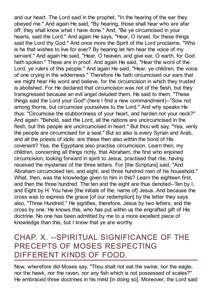and our heart. The Lord said in the prophet, "In the hearing of the ear they obeyed me." And again He said, "By hearing, those shall hear who are afar off; they shall know what I have done." And, "Be ye circumcised in your hearts, said the Lord." And again He says, "Hear, O Israel, for these things said the Lord thy God." And once more the Spirit of the Lord proclaims, "Who is he that wishes to live for ever? By hearing let him hear the voice of my servant." And again He said, "Hear, O heaven, and give ear, O earth, for God hath spoken." These are in proof. And again He said, "Hear the word of the Lord, ye rulers of this people." And again He said, "Hear, ye children, the voice of one crying in the wilderness." Therefore He hath circumcised our ears that we might hear His word and believe, for the circumcision in which they trusted is abolished. For He declared that circumcision was not of the flesh, but they transgressed because an evil angel deluded them. He said to them, "These things said the Lord your God"-(here I find a new commandment)--"Sow not among thorns, but circumcise yourselves to the Lord." And why speaks He thus: "Circumcise the stubbornness of your heart, and harden not your neck?" And again: "Behold, said the Lord, all the nations are uncircumcised in the flesh, but this people are uncircumcised in heart." But thou wilt say, "Yea, verily the people are circumcised for a seal." But so also is every Syrian and Arab, and all the priests of idols: are these then also within the bond of His covenant? Yea, the Egyptians also practise circumcision. Learn then, my children, concerning all things richly, that Abraham, the first who enjoined circumcision, looking forward in spirit to Jesus, practised that rite, having received the mysteries of the three letters. For [the Scripture] said, "And Abraham circumcised ten, and eight, and three hundred men of his household." What, then, was the knowledge given to him in this? Learn the eighteen first, and then the three hundred. The ten and the eight are thus denoted--Ten by I, and Eight by H. You have [the initials of the, name of] Jesus. And because the cross was to express the grace [of our redemption] by the letter they says also, "Three Hundred." He signifies, therefore, Jesus by two letters, and the cross by one. He knows this, who has put within us the engrafted gift of His doctrine. No one has been admitted by me to a more excellent piece of knowledge than this, but I know that ye are worthy.

#### <span id="page-10-0"></span>CHAP. X. --SPIRITUAL SIGNIFICANCE OF THE PRECEPTS OF MOSES RESPECTING DIFFERENT KINDS OF FOOD.

Now, wherefore did Moses say, "Thou shalt not eat the swine, nor the eagle, nor the hawk, nor the raven, nor any fish which is not possessed of scales?" He embraced three doctrines in his mind [in doing so]. Moreover, the Lord said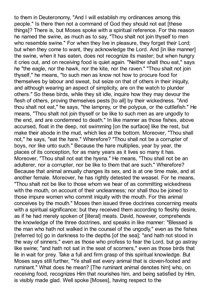to them in Deuteronomy, "And I will establish my ordinances among this people." Is there then not a command of God they should not eat [these things]? There is, but Moses spoke with a spiritual reference. For this reason he named the swine, as much as to say, "Thou shalt not join thyself to men who resemble swine." For when they live in pleasure, they forget their Lord; but when they come to want, they acknowledge the Lord. And [in like manner] the swine, when it has eaten, does not recognize its master; but when hungry it cries out, and on receiving food is quiet again. "Neither shalt thou eat," says he "the eagle, nor the hawk, nor the kite, nor the raven." "Thou shalt not join thyself," he means, "to such men as know not how to procure food for themselves by labour and sweat, but seize on that of others in their iniquity, and although wearing an aspect of simplicity, are on the watch to plunder others." So these birds, while they sit idle, inquire how they may devour the flesh of others, proving themselves pests [to all] by their wickedness. "And thou shalt not eat," he says, "the lamprey, or the polypus, or the cuttlefish." He means, "Thou shalt not join thyself or be like to such men as are ungodly to the end, and are condemned to death." In like manner as those fishes, above accursed, float in the deep, not swimming [on the surface] like the rest, but make their abode in the mud, which lies at the bottom. Moreover, "Thou shall not," he says, "eat the hare." Wherefore? "Thou shall not be a corrupter of boys, nor like unto such." Because the hare multiplies, year by year, the places of its conception, for as many years as it lives so many it has. Moreover, "Thou shall not eat the hyena." He means, "Thou shall not be an adulterer, nor a corrupter, nor be like to them that are such." Wherefore? Because that animal annually changes its sex, and is at one time male, and at another female. Moreover, he has rightly detested the weasel. For he means, "Thou shalt not be like to those whom we hear of as committing wickedness with the mouth, on account of their uncleanness; nor shall thou be joined to those impure women who commit iniquity with the mouth. For this animal conceives by the mouth." Moses then issued three doctrines concerning meats with a spiritual significance; but they received them according to fleshly desire, as if he had merely spoken of [literal] meats. David, however, comprehends the knowledge of the three doctrines, and speaks in like manner: "Blessed is the man who hath not walked in the counsel of the ungodly," even as the fishes [referred to] go in darkness to the depths [of the sea]; "and hath not stood in the way of sinners," even as those who profess to fear the Lord, but go astray like swine; "and hath not sat in the seat of scorners," even as those birds that lie in wait for prey. Take a full and firm grasp of this spiritual knowledge. But Moses says still further, "Ye shall eat every animal that is cloven-footed and ruminant." What does he mean? [The ruminant animal denotes him] who, on receiving food, recognizes Him that nourishes him, and being satisfied by Him, is visibly made glad. Well spoke [Moses], having respect to the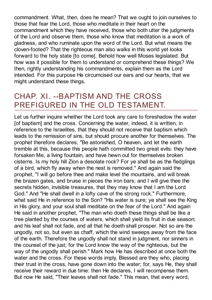commandment. What, then, does he mean? That we ought to join ourselves to those that fear the Lord, those who meditate in their heart on the commandment which they have received, those who both utter the judgments of the Lord and observe them, those who know that meditation is a work of gladness, and who ruminate upon the word of the Lord. But what means the cloven-footed? That the righteous man also walks in this world yet looks forward to the holy state [to come]. Behold how well Moses legislated. But how was it possible for them to understand or comprehend these things? We then, rightly understanding his commandments, explain them as the Lord intended. For this purpose He circumcised our ears and our hearts, that we might understand these things.

# <span id="page-12-0"></span>CHAP. XI. --BAPTISM AND THE CROSS PREFIGURED IN THE OLD TESTAMENT.

Let us further inquire whether the Lord took any care to foreshadow the water [of baptism] and the cross. Concerning the water, indeed, it is written, in reference to the Israelites, that they should not receive that baptism which leads to the remission of sins, but should procure another for themselves. The prophet therefore declares, "Be astonished, O heaven, and let the earth tremble at this, because this people hath committed two great evils: they have forsaken Me, a living fountain, and have hewn out for themselves broken cisterns. Is my holy hill Zion a desolate rock? For ye shall be as the fledglings of a bird, which fly away when the nest is removed." And again said the prophet, "I will go before thee and make level the mountains, and will break the brazen gates, and bruise in pieces the iron bars; and I will give thee the secrets hidden, invisible treasures, that they may know that I am the Lord God." And "He shall dwell in a lofty cave of the strong rock." Furthermore, what said He in reference to the Son? "His water is sure; ye shall see the King in His glory, and your soul shall meditate on the fear of the Lord." And again He said in another prophet, "The man who doeth these things shall be like a tree planted by the courses of waters, which shall yield its fruit in due season; and his leaf shall not fade, and all that he doeth shall prosper. Not so are the ungodly, not so, but even as chaff, which the wind sweeps away from the face of the earth. Therefore the ungodly shall not stand in judgment, nor sinners in the counsel of the just; for the Lord know the way of the righteous, but the way of the ungodly shall perish." Mark how He has described at once both the water and the cross. For these words imply, Blessed are they who, placing their trust in the cross, have gone down into the water; for, says He, they shall receive their reward in due time: then He declares, I will recompense them. But now He said, "Their leaves shall not fade." This mean, that every word,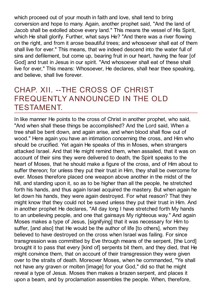which proceed out of your mouth in faith and love, shall tend to bring conversion and hope to many. Again, another prophet said, "And the land of Jacob shall be extolled above every land." This means the vessel of His Spirit, which He shall glorify. Further, what says He? "And there was a river flowing on the right, and from it arose beautiful trees; and whosoever shall eat of them shall live for ever." This means, that we indeed descend into the water full of sins and defilement, but come up, bearing fruit in our heart, having the fear [of God] and trust in Jesus in our spirit. "And whosoever shall eat of these shall live for ever," This means: Whosoever, He declares, shall hear thee speaking, and believe, shall live forever.

#### <span id="page-13-0"></span>CHAP. XII. --THE CROSS OF CHRIST FREQUENTLY ANNOUNCED IN THE OLD TESTAMENT.

In like manner He points to the cross of Christ in another prophet, who said, "And when shall these things be accomplished? And the Lord said, When a tree shall be bent down, and again arise, and when blood shall flow out of wood." Here again you have an intimation concerning the cross, and Him who should be crucified. Yet again He speaks of this in Moses, when strangers attacked Israel. And that He might remind them, when assailed, that it was on account of their sins they were delivered to death, the Spirit speaks to the heart of Moses, that he should make a figure of the cross, and of Him about to suffer thereon; for unless they put their trust in Him, they shall be overcome for ever. Moses therefore placed one weapon above another in the midst of the hill, and standing upon it, so as to be higher than all the people, he stretched forth his hands, and thus again Israel acquired the mastery. But when again he let down his hands, they were again destroyed. For what reason? That they might know that they could not be saved unless they put their trust in Him. And in another prophet He declares, "All day long I have stretched forth My hands to an unbelieving people, and one that gainsays My righteous way." And again Moses makes a type of Jesus, [signifying] that it was necessary for Him to suffer, [and also] that He would be the author of life [to others], whom they believed to have destroyed on the cross when Israel was failing. For since transgression was committed by Eve through means of the serpent, [the Lord] brought it to pass that every [kind of] serpents bit them, and they died, that He might convince them, that on account of their transgression they were given over to the straits of death. Moreover Moses, when he commanded, "Ye shall not have any graven or molten [image] for your God," did so that he might reveal a type of Jesus. Moses then makes a brazen serpent, and places it upon a beam, and by proclamation assembles the people. When, therefore,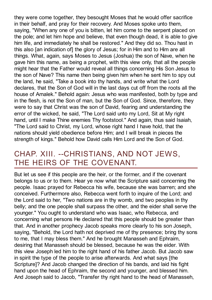they were come together, they besought Moses that he would offer sacrifice in their behalf, and pray for their recovery. And Moses spoke unto them, saying, "When any one of you is bitten, let him come to the serpent placed on the pole; and let him hope and believe, that even though dead, it is able to give him life, and immediately he shall be restored." And they did so. Thou hast in this also [an indication of] the glory of Jesus; for in Him and to Him are all things. What, again, says Moses to Jesus (Joshua) the son of Nave, when he gave him this name, as being a prophet, with this view only, that all the people might hear that the Father would reveal all things concerning His Son Jesus to the son of Nave? This name then being given him when he sent him to spy out the land, he said, "Take a book into thy hands, and write what the Lord declares, that the Son of God will in the last days cut off from the roots all the house of Amalek." Behold again: Jesus who was manifested, both by type and in the flesh, is not the Son of man, but the Son of God. Since, therefore, they were to say that Christ was the son of David, fearing and understanding the error of the wicked, he said, "The Lord said unto my Lord, Sit at My right hand, until I make Thine enemies Thy footstool." And again, thus said Isaiah, "The Lord said to Christ, my Lord, whose right hand I have hold, that the nations should yield obedience before Him; and I will break in pieces the strength of kings." Behold how David calls Him Lord and the Son of God.

#### <span id="page-14-0"></span>CHAP. XIII. --CHRISTIANS, AND NOT JEWS, THE HEIRS OF THE COVENANT.

But let us see if this people are the heir, or the former, and if the covenant belongs to us or to them. Hear ye now what the Scripture said concerning the people. Isaac prayed for Rebecca his wife, because she was barren; and she conceived. Furthermore also, Rebecca went forth to inquire of the Lord; and the Lord said to her, "Two nations are in thy womb, and two peoples in thy belly; and the one people shall surpass the other, and the eider shall serve the younger." You ought to understand who was Isaac, who Rebecca, and concerning what persons He declared that this people should be greater than that. And in another prophecy Jacob speaks more clearly to his son Joseph, saying, "Behold, the Lord hath not deprived me of thy presence; bring thy sons to me, that I may bless them." And he brought Manasseh and Ephraim, desiring that Manasseh should be blessed, because he was the eider. With this view Joseph led him to the right hand of his father Jacob. But Jacob saw in spirit the type of the people to arise afterwards. And what says [the Scripture]? And Jacob changed the direction of his bands, and laid his fight hand upon the head of Ephraim, the second and younger, and blessed him. And Joseph said to Jacob, "Transfer thy right hand to the head of Manasseh,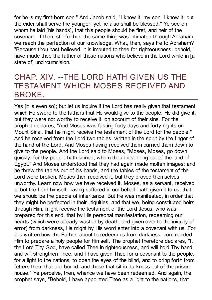for he is my first-born son." And Jacob said, "I know it, my son, I know it; but the eider shall serve the younger: yet he also shall be blessed." Ye see on whom he laid [his hands], that this people should be first, and heir of the covenant. If then, still further, the same thing was intimated through Abraham, we reach the perfection of our knowledge. What, then, says He to Abraham? "Because thou hast believed, it is imputed to thee for righteousness: behold, I have made thee the father of those nations who believe in the Lord while in [a state of] uncircumcision."

#### <span id="page-15-0"></span>CHAP. XIV. --THE LORD HATH GIVEN US THE TESTAMENT WHICH MOSES RECEIVED AND BROKE.

Yes [it is even so]; but let us inquire if the Lord has really given that testament which He swore to the fathers that He would give to the people. He did give it; but they were not worthy to receive it, on account of their sins. For the prophet declares, "And Moses was fasting forty days and forty nights on Mount Sinai, that he might receive the testament of the Lord for the people." And he received from the Lord two tables, written in the spirit by the finger of the hand of the Lord. And Moses having received them carried them down to give to the people. And the Lord said to Moses, "Moses, Moses, go down quickly; for thy people hath sinned, whom thou didst bring out of the land of Egypt." And Moses understood that they had again made molten images; and he threw the tables out of his hands, and the tables of the testament of the Lord were broken. Moses then received it, but they proved themselves unworthy. Learn now how we have received it. Moses, as a servant, received it; but the Lord himself, having suffered in our behalf, hath given it to us, that we should be the people of inheritance. But He was manifested, in order that they might be perfected in their iniquities, and that we, being constituted heirs through Him, might receive the testament of the Lord Jesus, who was prepared for this end, that by His personal manifestation, redeeming our hearts (which were already wasted by death, and given over to the iniquity of error) from darkness, He might by His word enter into a covenant with us. For it is written how the Father, about to redeem us from darkness, commanded Him to prepare a holy people for Himself. The prophet therefore declares, "I, the Lord Thy God, have called Thee in righteousness, and will hold Thy hand, and will strengthen Thee; and I have given Thee for a covenant to the people, for a light to the nations, to open the eyes of the blind, and to bring forth from fetters them that are bound, and those that sit in darkness out of the prisonhouse." Ye perceive, then, whence we have been redeemed. And again, the prophet says, "Behold, I have appointed Thee as a light to the nations, that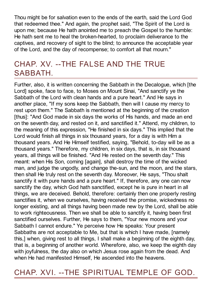Thou might be for salvation even to the ends of the earth, said the Lord God that redeemed thee." And again, the prophet said, "The Spirit of the Lord is upon me; because He hath anointed me to preach the Gospel to the humble: He hath sent me to heal the broken-hearted, to proclaim deliverance to the captives, and recovery of sight to the blind; to announce the acceptable year of the Lord, and the day of recompense; to comfort all that mourn."

#### <span id="page-16-0"></span>CHAP. XV. --THE FALSE AND THE TRUE SABBATH.

Further, also, it is written concerning the Sabbath in the Decalogue, which [the Lord] spoke, face to face, to Moses on Mount Sinai, "And sanctify ye the Sabbath of the Lord with clean hands and a pure heart." And He says in another place, "If my sons keep the Sabbath, then will I cause my mercy to rest upon them." The Sabbath is mentioned at the beginning of the creation [thus]: "And God made in six days the works of His hands, and made an end on the seventh day, and rested on it, and sanctified it." Attend, my children, to the meaning of this expression, "He finished in six days." This implied that the Lord would finish all things in six thousand years, for a day is with Him a thousand years. And He Himself testified, saying, "Behold, to-day will be as a thousand years." Therefore, my children, in six days, that is, in six thousand years, all things will be finished. "And He rested on the seventh day." This meant: when His Son, coming [again], shall destroy the time of the wicked man, and judge the ungodly, and change the-sun, and the moon, and the stars, then shall He truly rest on the seventh day. Moreover, He says, "Thou shalt sanctify it with pure hands and a pure heart." If, therefore, any one can now sanctify the day, which God hath sanctified, except he is pure in heart in all things, we are deceived. Behold, therefore: certainly then one properly resting sanctifies it, when we ourselves, having received the promise, wickedness no longer existing, and all things having been made new by the Lord, shall be able to work righteousness. Then we shall be able to sanctify it, having been first sanctified ourselves. Further, He says to them, "Your new moons and your Sabbath I cannot endure." Ye perceive how He speaks: Your present Sabbaths are not acceptable to Me, but that is which I have made, [namely this,] when, giving rest to all things, I shall make a beginning of the eighth day, that is, a beginning of another world. Wherefore, also, we keep the eighth day with joyfulness, the day also on which Jesus rose again from the dead. And when He had manifested Himself, He ascended into the heavens.

<span id="page-16-1"></span>CHAP. XVI. --THE SPIRITUAL TEMPLE OF GOD.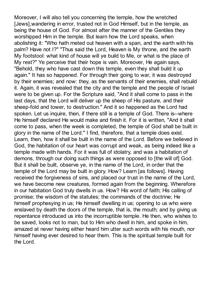Moreover, I will also tell you concerning the temple, how the wretched [Jews],wandering in error, trusted not in God Himself, but in the temple, as being the house of God. For almost after the manner of the Gentiles they worshipped Him in the temple. But learn how the Lord speaks, when abolishing it: "Who hath meted out heaven with a span, and the earth with his palm? Have not I?" "Thus said the Lord, Heaven is My throne, and the earth My footstool: what kind of house will ye build to Me, or what is the place of My rest?" Ye perceive that their hope is vain. Moreover, He again says, "Behold, they who have cast down this temple, even they shall build it up again." It has so happened. For through their going to war, it was destroyed by their enemies; and now: they, as the servants of their enemies, shall rebuild it. Again, it was revealed that the city and the temple and the people of Israel were to be given up. For the Scripture said, "And it shall come to pass in the last days, that the Lord will deliver up the sheep of His pasture, and their sheep-fold and tower, to destruction." And it so happened as the Lord had spoken. Let us inquire, then, if there still is a temple of God. There is--where He himself declared He would make and finish it. For it is written, "And it shall come to pass, when the week is completed, the temple of God shall be built in glory in the name of the Lord." I find, therefore, that a temple does exist. Learn, then, how it shall be built in the name of the Lord. Before we believed in God, the habitation of our heart was corrupt and weak, as being indeed like a temple made with hands. For it was full of idolatry, and was a habitation of demons, through our doing such things as were opposed to [the will of] God. But it shall be built, observe ye, in the name of the Lord, in order that the temple of the Lord may be built in glory. How? Learn [as follows]. Having received the forgiveness of sins, and placed our trust in the name of the Lord, we have become new creatures, formed again from the beginning. Wherefore in our habitation God truly dwells in us. How? His word of faith; His calling of promise; the wisdom of the statutes; the commands of the doctrine; He himself prophesying in us; He himself dwelling in us; opening to us who were enslaved by death the doors of the temple, that is, the mouth; and by giving us repentance introduced us into the incorruptible temple. He then, who wishes to be saved, looks not to man, but to Him who dwell in him, and spoke in him, amazed at never having either heard him utter such words with his mouth, nor himself having ever desired to hear them. This is the spiritual temple built for the Lord.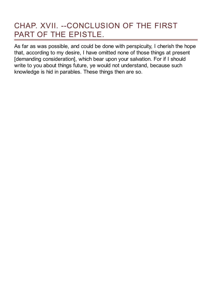### <span id="page-18-0"></span>CHAP. XVII. --CONCLUSION OF THE FIRST PART OF THE EPISTLE.

As far as was possible, and could be done with perspicuity, I cherish the hope that, according to my desire, I have omitted none of those things at present [demanding consideration], which bear upon your salvation. For if I should write to you about things future, ye would not understand, because such knowledge is hid in parables. These things then are so.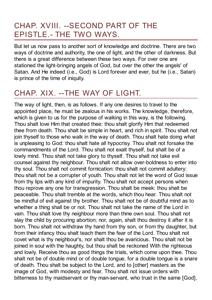#### <span id="page-19-0"></span>CHAP. XVIII. --SECOND PART OF THE EPISTLE.- THE TWO WAYS.

But let us now pass to another sort of knowledge and doctrine. There are two ways of doctrine and authority, the one of light, and the other of darkness. But there is a great difference between these two ways. For over one are stationed the light-bringing angels of God, but over the other the angels' of Satan. And He indeed (i.e., God) is Lord forever and ever, but he (i.e., Satan) is prince of the time of iniquity.

# <span id="page-19-1"></span>CHAP. XIX. --THE WAY OF LIGHT.

The way of light, then, is as follows. If any one desires to travel to the appointed place, he must be zealous in his works. The knowledge, therefore, which is given to us for the purpose of walking in this way, is the following. Thou shalt love Him that created thee: thou shalt glorify Him that redeemed thee from death. Thou shalt be simple in heart, and rich in spirit. Thou shalt not join thyself to those who walk in the way of death. Thou shalt hate doing what is unpleasing to God: thou shalt hate all hypocrisy. Thou shalt not forsake the commandments of the Lord. Thou shalt not exalt thyself, but shalt be of a lowly mind. Thou shalt not take glory to thyself. Thou shalt not take evil counsel against thy neighbour. Thou shalt not allow over-boldness to enter into thy soul. Thou shalt not commit fornication: thou shalt not commit adultery: thou shalt not be a corrupter of youth. Thou shalt not let the word of God issue from thy lips with any kind of impurity. Thou shalt not accept persons when thou reprove any one for transgression. Thou shalt be meek: thou shalt be peaceable. Thou shalt tremble at the words, which thou hear. Thou shalt not be mindful of evil against thy brother. Thou shalt not be of doubtful mind as to whether a thing shall be or not. Thou shalt not take the name of the Lord in vain. Thou shalt love thy neighbour more than thine own soul. Thou shalt not slay the child by procuring abortion; nor, again, shalt thou destroy it after it is born. Thou shalt not withdraw thy hand from thy son, or from thy daughter, but from their infancy thou shalt teach them the fear of the Lord. Thou shalt not covet what is thy neighbour's, nor shalt thou be avaricious. Thou shalt not be joined in soul with the haughty, but thou shalt be reckoned With the righteous and lowly. Receive thou as good things the trials, which come upon thee. Thou shalt not be of double mind or of double tongue, for a double tongue is a snare of death. Thou shalt be subject to the Lord, and to [other] masters as the image of God, with modesty and fear. Thou shalt not issue orders with bitterness to thy maidservant or thy man-servant, who trust in the same [God],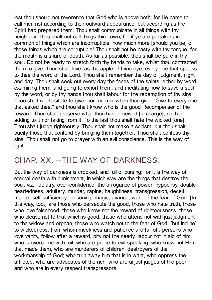lest thou should not reverence that God who is above both; for He came to call men not according to their outward appearance, but according as the Spirit had prepared them. Thou shalt communicate in all things with thy neighbour; thou shalt not call things thine own; for if ye are partakers in common of things which are incorruptible, how much more [should you be] of those things which are corruptible! Thou shalt not be hasty with thy tongue, for the mouth is a snare of death. As far as possible, thou shalt be pure in thy soul. Do not be ready to stretch forth thy hands to take, whilst thou contracted them to give. Thou shalt love, as the apple of thine eye, every one that speaks to thee the word of the Lord. Thou shalt remember the day of judgment, night and day. Thou shalt seek out every day the faces of the saints, either by word examining them, and going to exhort them, and meditating how to save a soul by the word, or by thy hands thou shalt labour for the redemption of thy sins. Thou shalt not hesitate to give, nor murmur when thou give. "Give to every one that asked thee," and thou shalt know who is the good Recompenser of the reward. Thou shalt preserve what thou hast received [in charge], neither adding to it nor taking from it. To the last thou shalt hate the wicked [one]. Thou shalt judge righteously. Thou shalt not make a schism, but thou shalt pacify those that contend by bringing them together. Thou shalt confess thy sins. Thou shalt not go to prayer with an evil conscience. This is the way of light.

# <span id="page-20-0"></span>CHAP. XX. --THE WAY OF DARKNESS.

But the way of darkness is crooked, and full of cursing; for it is the way of eternal death with punishment, in which way are the things that destroy the soul, viz., idolatry, over-confidence, the arrogance of power, hypocrisy, doubleheartedness, adultery, murder, rapine, haughtiness, transgression, deceit, malice, self-sufficiency, poisoning, magic, avarice, want of the fear of God. [In this way, too,] are those who persecute the good, those who hate truth, those who love falsehood, those who know not the reward of righteousness, those who cleave not to that which is good, those who attend not with just judgment to the widow and orphan, those who watch not to the fear of God, [but incline] to wickedness, from whom meekness and patience are far off; persons who love vanity, follow after a reward, pity not the needy, labour not in aid of him who is overcome with toil; who are prone to evil-speaking, who know not Him that made them, who are murderers of children, destroyers of the workmanship of God; who turn away him that is in want, who oppress the afflicted, who are advocates of the rich, who are unjust judges of the poor, and who are in every respect transgressors.